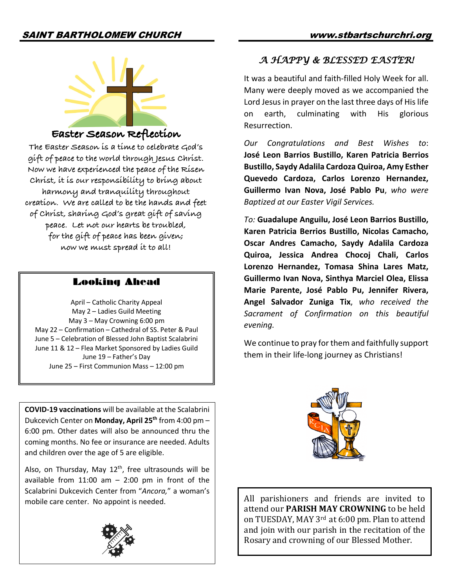

# **Easter Season Reflection**

**The Easter Season is a time to celebrate God's gift of peace to the world through Jesus Christ. Now we have experienced the peace of the Risen Christ, it is our responsibility to bring about harmony and tranquility throughout creation. We are called to be the hands and feet of Christ, sharing God's great gift of saving peace. Let not our hearts be troubled, for the gift of peace has been given; now we must spread it to all!**

## Looking Ahead

April – Catholic Charity Appeal May 2 – Ladies Guild Meeting May 3 – May Crowning 6:00 pm May 22 – Confirmation – Cathedral of SS. Peter & Paul June 5 – Celebration of Blessed John Baptist Scalabrini June 11 & 12 – Flea Market Sponsored by Ladies Guild June 19 – Father's Day June 25 – First Communion Mass – 12:00 pm

**COVID-19 vaccinations** will be available at the Scalabrini Dukcevich Center on **Monday, April 25th** from 4:00 pm – 6:00 pm. Other dates will also be announced thru the coming months. No fee or insurance are needed. Adults and children over the age of 5 are eligible.

Also, on Thursday, May  $12<sup>th</sup>$ , free ultrasounds will be available from  $11:00$  am  $-$  2:00 pm in front of the Scalabrini Dukcevich Center from "*Ancora,*" a woman's mobile care center. No appoint is needed.



# *A HAPPY & BLESSED EASTER!*

It was a beautiful and faith-filled Holy Week for all. Many were deeply moved as we accompanied the Lord Jesus in prayer on the last three days of His life on earth, culminating with His glorious Resurrection.

*Our Congratulations and Best Wishes to*: **José Leon Barrios Bustillo, Karen Patricia Berrios Bustillo, Saydy Adalila Cardoza Quiroa, Amy Esther Quevedo Cardoza, Carlos Lorenzo Hernandez, Guillermo Ivan Nova, José Pablo Pu**, *who were Baptized at our Easter Vigil Services.*

*To:* **Guadalupe Anguilu, José Leon Barrios Bustillo, Karen Patricia Berrios Bustillo, Nicolas Camacho, Oscar Andres Camacho, Saydy Adalila Cardoza Quiroa, Jessica Andrea Chocoj Chali, Carlos Lorenzo Hernandez, Tomasa Shina Lares Matz, Guillermo Ivan Nova, Sinthya Marciel Olea, Elissa Marie Parente, José Pablo Pu, Jennifer Rivera, Angel Salvador Zuniga Tix**, *who received the Sacrament of Confirmation on this beautiful evening.*

We continue to pray for them and faithfully support them in their life-long journey as Christians!



All parishioners and friends are invited to attend our **PARISH MAY CROWNING** to be held on TUESDAY, MAY 3<sup>rd</sup> at 6:00 pm. Plan to attend and join with our parish in the recitation of the Rosary and crowning of our Blessed Mother.